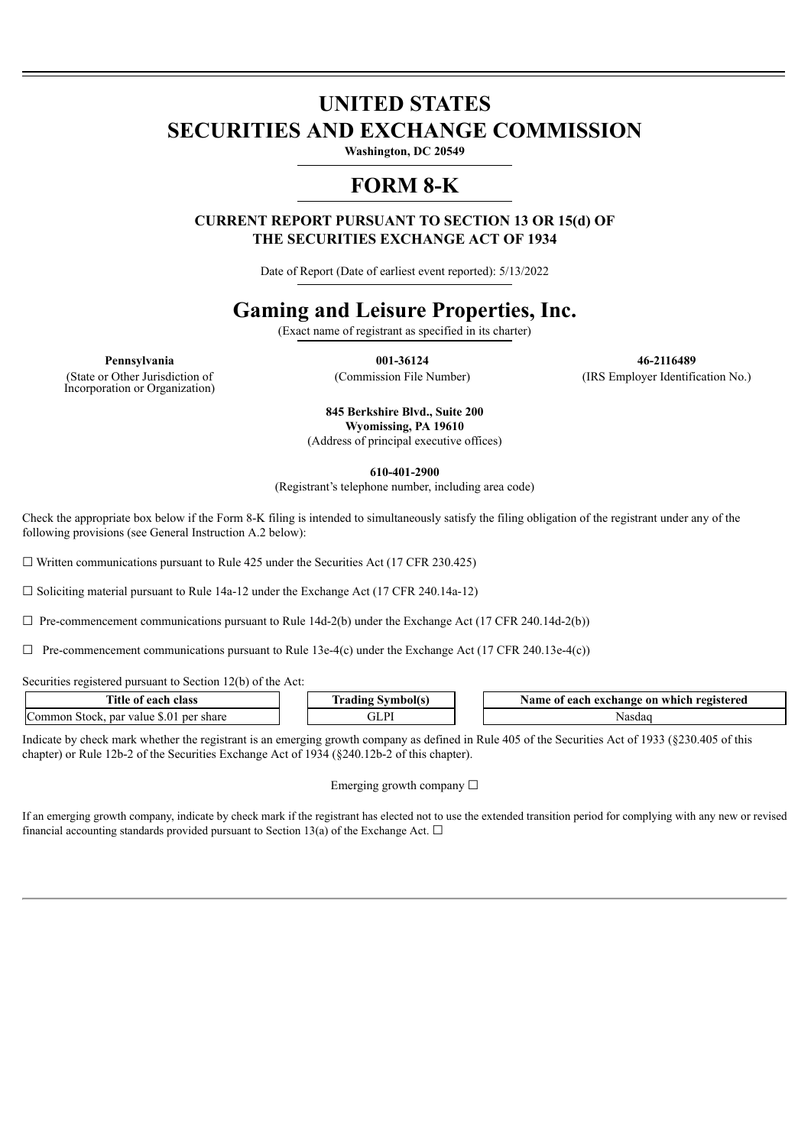# **UNITED STATES SECURITIES AND EXCHANGE COMMISSION**

**Washington, DC 20549**

## **FORM 8-K**

**CURRENT REPORT PURSUANT TO SECTION 13 OR 15(d) OF THE SECURITIES EXCHANGE ACT OF 1934**

Date of Report (Date of earliest event reported): 5/13/2022

## **Gaming and Leisure Properties, Inc.**

(Exact name of registrant as specified in its charter)

(State or Other Jurisdiction of Incorporation or Organization)

**Pennsylvania 001-36124 46-2116489** (Commission File Number) (IRS Employer Identification No.)

> **845 Berkshire Blvd., Suite 200 Wyomissing, PA 19610** (Address of principal executive offices)

> > **610-401-2900**

(Registrant's telephone number, including area code)

Check the appropriate box below if the Form 8-K filing is intended to simultaneously satisfy the filing obligation of the registrant under any of the following provisions (see General Instruction A.2 below):

 $\Box$  Written communications pursuant to Rule 425 under the Securities Act (17 CFR 230.425)

 $\Box$  Soliciting material pursuant to Rule 14a-12 under the Exchange Act (17 CFR 240.14a-12)

 $\Box$  Pre-commencement communications pursuant to Rule 14d-2(b) under the Exchange Act (17 CFR 240.14d-2(b))

 $\Box$  Pre-commencement communications pursuant to Rule 13e-4(c) under the Exchange Act (17 CFR 240.13e-4(c))

Securities registered pursuant to Section 12(b) of the Act:

| Title<br>. each<br>class<br>-01                                              | --<br>. <del>.</del><br>l aull | registered<br>. each<br>Name of<br>exchange<br>∙ on which |
|------------------------------------------------------------------------------|--------------------------------|-----------------------------------------------------------|
| $\sim$<br>$, 0^{\circ}$<br>omm<br>par<br>share<br>Stock<br>value<br>ner<br>v | $\mathbf{r}$                   | Nasdac                                                    |

Indicate by check mark whether the registrant is an emerging growth company as defined in Rule 405 of the Securities Act of 1933 (§230.405 of this chapter) or Rule 12b-2 of the Securities Exchange Act of 1934 (§240.12b-2 of this chapter).

#### Emerging growth company  $\Box$

If an emerging growth company, indicate by check mark if the registrant has elected not to use the extended transition period for complying with any new or revised financial accounting standards provided pursuant to Section 13(a) of the Exchange Act.  $\Box$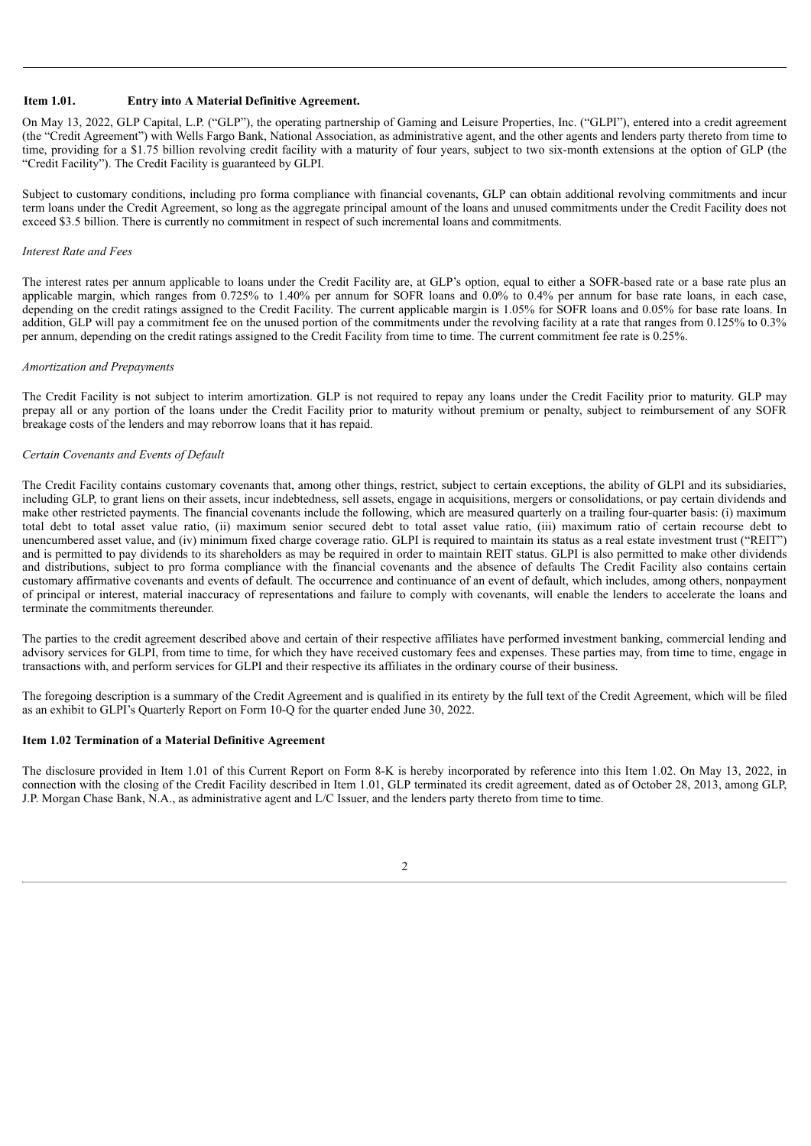#### **Item 1.01. Entry into A Material Definitive Agreement.**

On May 13, 2022, GLP Capital, L.P. ("GLP"), the operating partnership of Gaming and Leisure Properties, Inc. ("GLPI"), entered into a credit agreement (the "Credit Agreement") with Wells Fargo Bank, National Association, as administrative agent, and the other agents and lenders party thereto from time to time, providing for a \$1.75 billion revolving credit facility with a maturity of four years, subject to two six-month extensions at the option of GLP (the "Credit Facility"). The Credit Facility is guaranteed by GLPI.

Subject to customary conditions, including pro forma compliance with financial covenants, GLP can obtain additional revolving commitments and incur term loans under the Credit Agreement, so long as the aggregate principal amount of the loans and unused commitments under the Credit Facility does not exceed \$3.5 billion. There is currently no commitment in respect of such incremental loans and commitments.

#### *Interest Rate and Fees*

The interest rates per annum applicable to loans under the Credit Facility are, at GLP's option, equal to either a SOFR-based rate or a base rate plus an applicable margin, which ranges from 0.725% to 1.40% per annum for SOFR loans and 0.0% to 0.4% per annum for base rate loans, in each case, depending on the credit ratings assigned to the Credit Facility. The current applicable margin is 1.05% for SOFR loans and 0.05% for base rate loans. In addition, GLP will pay a commitment fee on the unused portion of the commitments under the revolving facility at a rate that ranges from 0.125% to 0.3% per annum, depending on the credit ratings assigned to the Credit Facility from time to time. The current commitment fee rate is 0.25%.

#### *Amortization and Prepayments*

The Credit Facility is not subject to interim amortization. GLP is not required to repay any loans under the Credit Facility prior to maturity. GLP may prepay all or any portion of the loans under the Credit Facility prior to maturity without premium or penalty, subject to reimbursement of any SOFR breakage costs of the lenders and may reborrow loans that it has repaid.

#### *Certain Covenants and Events of Default*

The Credit Facility contains customary covenants that, among other things, restrict, subject to certain exceptions, the ability of GLPI and its subsidiaries, including GLP, to grant liens on their assets, incur indebtedness, sell assets, engage in acquisitions, mergers or consolidations, or pay certain dividends and make other restricted payments. The financial covenants include the following, which are measured quarterly on a trailing four-quarter basis: (i) maximum total debt to total asset value ratio, (ii) maximum senior secured debt to total asset value ratio, (iii) maximum ratio of certain recourse debt to unencumbered asset value, and (iv) minimum fixed charge coverage ratio. GLPI is required to maintain its status as a real estate investment trust ("REIT") and is permitted to pay dividends to its shareholders as may be required in order to maintain REIT status. GLPI is also permitted to make other dividends and distributions, subject to pro forma compliance with the financial covenants and the absence of defaults The Credit Facility also contains certain customary affirmative covenants and events of default. The occurrence and continuance of an event of default, which includes, among others, nonpayment of principal or interest, material inaccuracy of representations and failure to comply with covenants, will enable the lenders to accelerate the loans and terminate the commitments thereunder.

The parties to the credit agreement described above and certain of their respective affiliates have performed investment banking, commercial lending and advisory services for GLPI, from time to time, for which they have received customary fees and expenses. These parties may, from time to time, engage in transactions with, and perform services for GLPI and their respective its affiliates in the ordinary course of their business.

The foregoing description is a summary of the Credit Agreement and is qualified in its entirety by the full text of the Credit Agreement, which will be filed as an exhibit to GLPI's Quarterly Report on Form 10-Q for the quarter ended June 30, 2022.

#### **Item 1.02 Termination of a Material Definitive Agreement**

The disclosure provided in Item 1.01 of this Current Report on Form 8-K is hereby incorporated by reference into this Item 1.02. On May 13, 2022, in connection with the closing of the Credit Facility described in Item 1.01, GLP terminated its credit agreement, dated as of October 28, 2013, among GLP, J.P. Morgan Chase Bank, N.A., as administrative agent and L/C Issuer, and the lenders party thereto from time to time.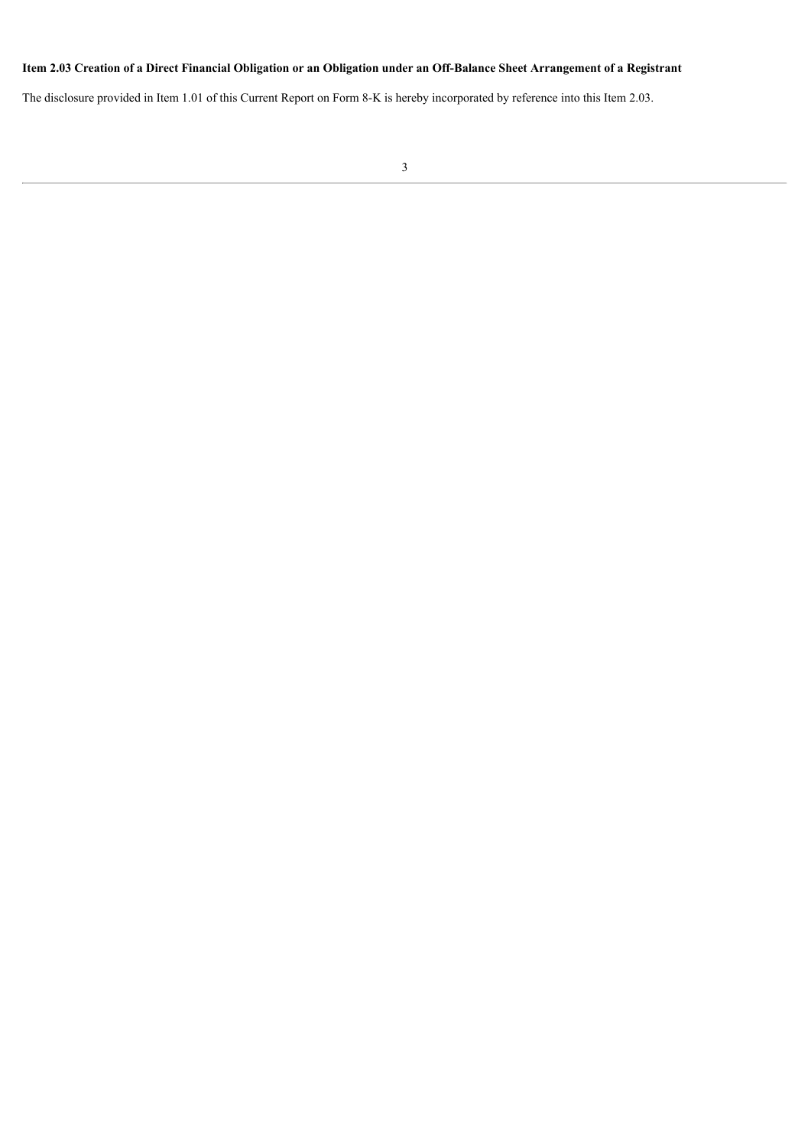### Item 2.03 Creation of a Direct Financial Obligation or an Obligation under an Off-Balance Sheet Arrangement of a Registrant

The disclosure provided in Item 1.01 of this Current Report on Form 8-K is hereby incorporated by reference into this Item 2.03.